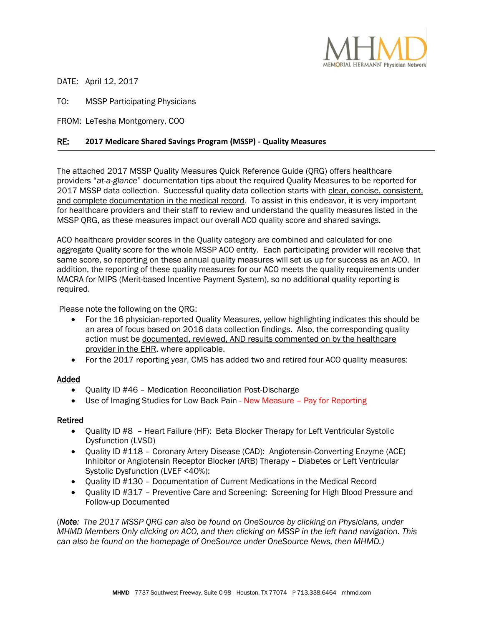

DATE: April 12, 2017

**.** 

TO: MSSP Participating Physicians

FROM: LeTesha Montgomery, COO

# RE: **2017 Medicare Shared Savings Program (MSSP) - Quality Measures**

The attached 2017 MSSP Quality Measures Quick Reference Guide (QRG) offers healthcare providers "*at-a-glance*" documentation tips about the required Quality Measures to be reported for 2017 MSSP data collection. Successful quality data collection starts with clear, concise, consistent, and complete documentation in the medical record. To assist in this endeavor, it is very important for healthcare providers and their staff to review and understand the quality measures listed in the MSSP QRG, as these measures impact our overall ACO quality score and shared savings.

ACO healthcare provider scores in the Quality category are combined and calculated for one aggregate Quality score for the whole MSSP ACO entity. Each participating provider will receive that same score, so reporting on these annual quality measures will set us up for success as an ACO. In addition, the reporting of these quality measures for our ACO meets the quality requirements under MACRA for MIPS (Merit-based Incentive Payment System), so no additional quality reporting is required.

Please note the following on the QRG:

- For the 16 physician-reported Quality Measures, yellow highlighting indicates this should be an area of focus based on 2016 data collection findings. Also, the corresponding quality action must be documented, reviewed, AND results commented on by the healthcare provider in the EHR, where applicable.
- For the 2017 reporting year, CMS has added two and retired four ACO quality measures:

## Added

- Quality ID #46 Medication Reconciliation Post-Discharge
- Use of Imaging Studies for Low Back Pain New Measure Pay for Reporting

## Retired

- Quality ID #8 Heart Failure (HF): Beta Blocker Therapy for Left Ventricular Systolic Dysfunction (LVSD)
- Quality ID #118 Coronary Artery Disease (CAD): Angiotensin-Converting Enzyme (ACE) Inhibitor or Angiotensin Receptor Blocker (ARB) Therapy – Diabetes or Left Ventricular Systolic Dysfunction (LVEF <40%):
- Quality ID #130 Documentation of Current Medications in the Medical Record
- Quality ID #317 Preventive Care and Screening: Screening for High Blood Pressure and Follow-up Documented

(*Note: The 2017 MSSP QRG can also be found on OneSource by clicking on Physicians, under MHMD Members Only clicking on ACO, and then clicking on MSSP in the left hand navigation. This can also be found on the homepage of OneSource under OneSource News, then MHMD.)*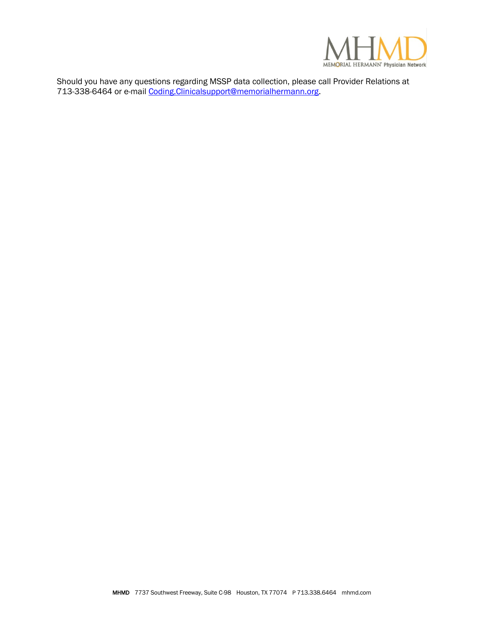

Should you have any questions regarding MSSP data collection, please call Provider Relations at 713-338-6464 or e-mail Coding. Clinica[lsupport@memorialhermann.org.](mailto:support@memorialhermann.org)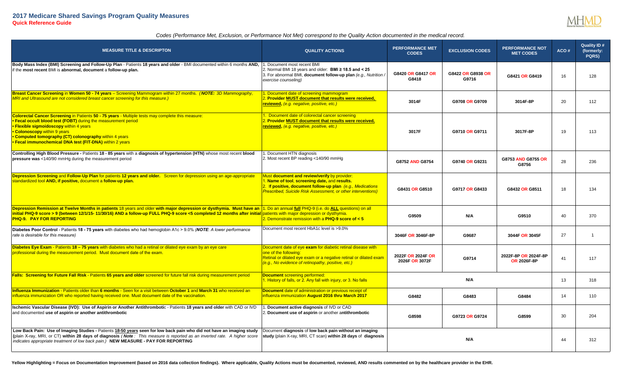

### *Codes (Performance Met, Exclusion, or Performance Not Met) correspond to the Quality Action documented in the medical record.*

| <b>MEASURE TITLE &amp; DESCRIPTON</b>                                                                                                                                                                                                                                                                                                                                                        | <b>QUALITY ACTIONS</b>                                                                                                                                                                                                            | <b>PERFORMANCE MET</b><br><b>CODES</b> | <b>EXCLUSION CODES</b>     | <b>PERFORMANCE NOT</b><br><b>MET CODES</b> | ACO# | <b>Quality ID#</b><br>(formerly:<br>PQRS) |
|----------------------------------------------------------------------------------------------------------------------------------------------------------------------------------------------------------------------------------------------------------------------------------------------------------------------------------------------------------------------------------------------|-----------------------------------------------------------------------------------------------------------------------------------------------------------------------------------------------------------------------------------|----------------------------------------|----------------------------|--------------------------------------------|------|-------------------------------------------|
| Body Mass Index (BMI) Screening and Follow-Up Plan - Patients 18 years and older - BMI documented within 6 months AND,<br>if the most recent BMI is abnormal, document a follow-up plan.                                                                                                                                                                                                     | 1. Document most recent BMI<br>2. Normal BMI 18 years and older: BMI $\geq$ 18.5 and < 25<br>3. For abnormal BMI, document follow-up plan (e.g., Nutrition /<br>exercise counseling)                                              | G8420 OR G8417 OR<br>G8418             | G8422 OR G8938 OR<br>G9716 | G8421 OR G8419                             | 16   | 128                                       |
| Breast Cancer Screening in Women 50 - 74 years - Screening Mammogram within 27 months. (NOTE: 3D Mammography,<br>MRI and Ultrasound are not considered breast cancer screening for this measure.)                                                                                                                                                                                            | . Document date of screening mammogram<br>2. Provider MUST document that results were received,<br>reviewed, (e.g. negative, positive, etc.)                                                                                      | 3014F                                  | G9708 OR G9709             | 3014F-8P                                   | 20   | 112                                       |
| Colorectal Cancer Screening in Patients 50 - 75 years - Multiple tests may complete this measure:<br>• Fecal occult blood test (FOBT) during the measurement period<br>• Flexible sigmoidoscopy within 4 years<br>• Colonoscopy within 9 years<br>• Computed tomography (CT) colonography within 4 years<br>• Fecal immunochemical DNA test (FIT-DNA) within 2 years                         | . Document date of colorectal cancer screening<br><b>Provider MUST document that results were received,</b><br>reviewed, (e.g. negative, positive, etc.)                                                                          | 3017F                                  | G9710 OR G9711             | 3017F-8P                                   | 19   | 113                                       |
| Controlling High Blood Pressure - Patients 18 - 85 years with a diagnosis of hypertension (HTN) whose most recent blood<br>pressure was <140/90 mmHg during the measurement period                                                                                                                                                                                                           | . Document HTN diagnosis<br>2. Most recent BP reading <140/90 mmHg                                                                                                                                                                | G8752 AND G8754                        | G9740 OR G9231             | G8753 AND G8755 OR<br>G8756                | 28   | 236                                       |
| Depression Screening and Follow-Up Plan for patients 12 years and older. Screen for depression using an age-appropriate<br>standardized tool AND, if positive, document a follow-up plan.                                                                                                                                                                                                    | Must document and review/verify by provider:<br>. Name of tool, screening date, and results.<br>2. If positive, document follow-up plan (e.g., Medications<br><b>Prescribed. Suicide Risk Assessment, or other interventions)</b> | G8431 OR G8510                         | G9717 OR G8433             | G8432 OR G8511                             | 18   | 134                                       |
| Depression Remission at Twelve Months in patients 18 years and older with major depression or dysthymia. Must have an  1. Do an annual full PHQ-9 (i.e. do ALL questions) on all<br>initial PHQ-9 score > 9 (between 12/1/15-11/30/16) AND a follow-up FULL PHQ-9 score <5 completed 12 months after initial patients with major depression or dysthymia.<br><b>PHQ-9. PAY FOR REPORTING</b> | 2. Demonstrate remission with a PHQ-9 score of < 5                                                                                                                                                                                | G9509                                  | N/A                        | G9510                                      | 40   | 370                                       |
| Diabetes Poor Control - Patients 18 - 75 years with diabetes who had hemoglobin A1c > 9.0% (NOTE: A lower performance<br>rate is desirable for this measure)                                                                                                                                                                                                                                 | Document most recent HbA1c level is >9.0%                                                                                                                                                                                         | 3046F OR 3046F-8P                      | G9687                      | 3044F OR 3045F                             | 27   | $\overline{1}$                            |
| Diabetes Eye Exam - Patients 18 - 75 years with diabetes who had a retinal or dilated eye exam by an eye care<br>professional during the measurement period. Must document date of the exam.                                                                                                                                                                                                 | Document date of eye exam for diabetic retinal disease with<br>one of the followina:<br>Retinal or dilated eye exam or a negative retinal or dilated exam<br>(e.g., No evidence of retinopathy, positive, etc.)                   | 2022F OR 2024F OR<br>2026F OR 3072F    | G9714                      | 2022F-8P OR 2024F-8P<br><b>OR 2026F-8P</b> | 41   | 117                                       |
| Falls: Screening for Future Fall Risk - Patients 65 years and older screened for future fall risk during measurement period                                                                                                                                                                                                                                                                  | <b>Document screening performed:</b><br>1. History of falls, or 2. Any fall with injury, or 3. No falls                                                                                                                           |                                        | N/A                        |                                            | 13   | 318                                       |
| Influenza Immunization - Patients older than 6 months - Seen for a visit between October 1 and March 31 who received an<br>influenza immunization OR who reported having received one. Must document date of the vaccination.                                                                                                                                                                | Document date of administration or previous receipt of<br>influenza immunization August 2016 thru March 2017                                                                                                                      | G8482                                  | G8483                      | G8484                                      | 14   | 110                                       |
| Ischemic Vascular Disease (IVD): Use of Aspirin or Another Antithrombotic - Patients 18 years and older with CAD or IVD<br>and documented use of aspirin or another antithrombotic                                                                                                                                                                                                           | Document active diagnosis of IVD or CAD<br>2. Document use of aspirin or another antithrombotic                                                                                                                                   | G8598                                  | G9723 OR G9724             | G8599                                      | 30   | 204                                       |
| Low Back Pain: Use of Imaging Studies - Patients 18-50 years seen for low back pain who did not have an imaging study<br>(plain X-ray, MRI, or CT) within 28 days of diagnosis (Note: This measure is reported as an inverted rate. A higher score<br>indicates appropriate treatment of low back pain.) NEW MEASURE - PAY FOR REPORTING                                                     | Document diagnosis of low back pain without an imaging<br>study (plain X-ray, MRI, CT scan) within 28 days of diagnosis                                                                                                           |                                        | N/A                        |                                            | 44   | 312                                       |